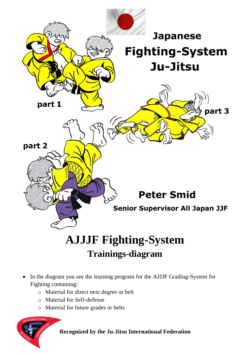

## **AJJJF Fighting-System Trainings-diagram**

- In the diagram you see the learning program for the AJJJF Grading-System for Fighting containing:
	- o Material for direct next degree or belt
	- o Material for Self-defense
	- o Material for future grades or belts

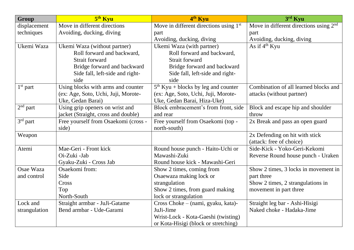| Group                                         | 5 <sup>th</sup> Kyu                  | 4th Kyu                                             | $3rd$ Kyu                                          |  |  |
|-----------------------------------------------|--------------------------------------|-----------------------------------------------------|----------------------------------------------------|--|--|
| displacement                                  | Move in different directions         | Move in different directions using 1 <sup>st</sup>  | Move in different directions using 2 <sup>nd</sup> |  |  |
| techniques                                    | Avoiding, ducking, diving            | part                                                | part                                               |  |  |
|                                               |                                      | Avoiding, ducking, diving                           | Avoiding, ducking, diving                          |  |  |
| Ukemi Waza                                    | Ukemi Waza (without partner)         | Ukemi Waza (with partner)                           | As if $4th$ Kyu                                    |  |  |
|                                               | Roll forward and backward,           | Roll forward and backward,                          |                                                    |  |  |
|                                               | <b>Strait forward</b>                | Strait forward                                      |                                                    |  |  |
|                                               | Bridge forward and backward          | Bridge forward and backward                         |                                                    |  |  |
|                                               | Side fall, left-side and right-      | Side fall, left-side and right-                     |                                                    |  |  |
|                                               | side                                 | side                                                |                                                    |  |  |
| $1st$ part                                    | Using blocks with arms and counter   | $\overline{5^{th}}$ Kyu + blocks by leg and counter | Combination of all learned blocks and              |  |  |
|                                               | (ex: Age, Soto, Uchi, Juji, Morote-  | (ex: Age, Soto, Uchi, Juji, Morote-                 | attacks (without partner)                          |  |  |
|                                               | Uke, Gedan Barai)                    | Uke, Gedan Barai, Hiza-Uke)                         |                                                    |  |  |
| $2nd$ part<br>Using grip openers on wrist and |                                      | Block embracement's from front, side                | Block and escape hip and shoulder                  |  |  |
| jacket (Straight, cross and double)           |                                      | and rear                                            | throw                                              |  |  |
| 3rd part                                      | Free yourself from Osaekomi (cross - | Free yourself from Osaekomi (top -                  | 2x Break and pass an open guard                    |  |  |
|                                               | side)                                | north-south)                                        |                                                    |  |  |
| Weapon                                        |                                      |                                                     | 2x Defending on hit with stick                     |  |  |
|                                               |                                      |                                                     | (attack: free of choice)                           |  |  |
| Atemi                                         | Mae-Geri - Front kick                | Round house punch - Haito-Uchi or                   | Side-Kick - Yoko-Geri-Kekomi                       |  |  |
|                                               | Oi-Zuki -Jab                         | Mawashi-Zuki                                        | Reverse Round house punch - Uraken                 |  |  |
|                                               | Gyaku-Zuki - Cross Jab               | Round house kick - Mawashi-Geri                     |                                                    |  |  |
| Osae Waza                                     | Osaekomi from:                       | Show 2 times, coming from                           | Show 2 times, 3 locks in movement in               |  |  |
| and control                                   | Side                                 | Osaewaza making lock or                             | part three                                         |  |  |
| Cross                                         |                                      | strangulation                                       | Show 2 times, 2 strangulations in                  |  |  |
|                                               | Top                                  | Show 2 times, from guard making                     | movement in part three                             |  |  |
|                                               | North-South                          | lock or strangulation                               |                                                    |  |  |
| Lock and                                      | Straight armbar - JuJi-Gatame        | Cross Choke – (nami, gyaku, kata)-                  | Straight leg bar - Ashi-Hisigi                     |  |  |
| strangulation                                 | Bend armbar - Ude-Garami             | JuJi-Jime                                           | Naked choke - Hadaka-Jime                          |  |  |
|                                               |                                      | Wrist-Lock - Kota-Gaeshi (twisting)                 |                                                    |  |  |
|                                               |                                      | or Kota-Hisigi (block or stretching)                |                                                    |  |  |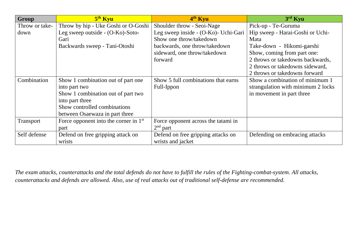| <b>Group</b><br>5 <sup>th</sup> Kyu |                                         | 4 <sup>th</sup> Kyu                  | $3rd$ Kyu                                |  |  |  |
|-------------------------------------|-----------------------------------------|--------------------------------------|------------------------------------------|--|--|--|
| Throw or take-                      | Throw by hip - Uke Goshi or O-Goshi     | Shoulder throw - Seoi-Nage           | Pick-up - Te-Guruma                      |  |  |  |
| down                                | Leg sweep outside - (O-Ko)-Soto-        | Leg sweep inside - (O-Ko)- Uchi-Gari | Hip sweep - Harai-Goshi or Uchi-<br>Mata |  |  |  |
|                                     | Gari                                    | Show one throw/takedown              |                                          |  |  |  |
| Backwards sweep - Tani-Otoshi       |                                         | backwards, one throw/takedown        | Take-down - Hikomi-gaeshi                |  |  |  |
|                                     |                                         | sideward, one throw/takedown         | Show, coming from part one:              |  |  |  |
|                                     |                                         | forward                              | 2 throws or takedowns backwards,         |  |  |  |
|                                     |                                         |                                      | 2 throws or takedowns sideward,          |  |  |  |
|                                     |                                         |                                      | 2 throws or takedowns forward            |  |  |  |
| Combination                         | Show 1 combination out of part one      | Show 5 full combinations that earns  | Show a combination of minimum 1          |  |  |  |
|                                     | into part two                           | Full-Ippon                           | strangulation with minimum 2 locks       |  |  |  |
|                                     | Show 1 combination out of part two      |                                      | in movement in part three                |  |  |  |
|                                     | into part three                         |                                      |                                          |  |  |  |
|                                     | Show controlled combinations            |                                      |                                          |  |  |  |
|                                     | between Osaewaza in part three          |                                      |                                          |  |  |  |
| Transport                           | Force opponent into the corner in $1st$ | Force opponent across the tatami in  |                                          |  |  |  |
| part                                |                                         | $2nd$ part                           |                                          |  |  |  |
| Self defense                        | Defend on free gripping attack on       | Defend on free gripping attacks on   | Defending on embracing attacks           |  |  |  |
|                                     | wrists                                  | wrists and jacket                    |                                          |  |  |  |

*The exam attacks, counterattacks and the total defends do not have to fulfill the rules of the Fighting-combat-system. All attacks, counterattacks and defends are allowed. Also, use of real attacks out of traditional self-defense are recommended.*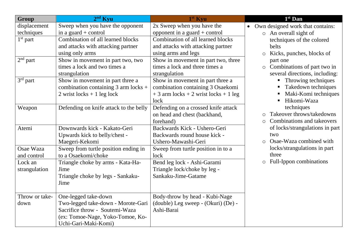| Group<br>$2nd$ Kyu |                                              | 1 <sup>st</sup> Kyu                      | $1st$ Dan                                     |  |  |  |
|--------------------|----------------------------------------------|------------------------------------------|-----------------------------------------------|--|--|--|
| displacement       | Sweep when you have the opponent             | 2x Sweep when you have the               | Own designed work that contains:<br>$\bullet$ |  |  |  |
| techniques         | in a guard $+$ control                       | opponent in a guard $+$ control          | An overall sight of<br>$\circ$                |  |  |  |
| $1st$ part         | Combination of all learned blocks            | Combination of all learned blocks        | techniques of the colored                     |  |  |  |
|                    | and attacks with attacking partner           | and attacks with attacking partner       | belts                                         |  |  |  |
|                    | using only arms                              | using arms and legs                      | Kicks, punches, blocks of<br>$\circ$          |  |  |  |
| $2nd$ part         | Show in movement in part two, two            | Show in movement in part two, three      | part one                                      |  |  |  |
|                    | times a lock and two times a                 | times a lock and three times a           | Combinations of part two in<br>$\circ$        |  |  |  |
|                    | strangulation                                | strangulation                            | several directions, including:                |  |  |  |
| $3rd$ part         | Show in movement in part three a             | Show in movement in part three a         | • Throwing techniques                         |  |  |  |
|                    | combination containing $3$ arm locks +       | combination containing 3 Osaekomi        | Takedown techniques                           |  |  |  |
|                    | $2 \text{ wrist locks} + 1 \text{ leg lock}$ | $+3$ arm locks $+2$ wrist locks $+1$ leg | Maki-Komi techniques                          |  |  |  |
|                    |                                              | lock                                     | Hikomi-Waza                                   |  |  |  |
| Weapon             | Defending on knife attack to the belly       | Defending on a crossed knife attack      | techniques                                    |  |  |  |
|                    |                                              | on head and chest (backhand,             | Takeover throws/takedowns<br>$\circ$          |  |  |  |
|                    |                                              | forehand)                                | Combinations and takeovers<br>$\bigcirc$      |  |  |  |
| Atemi              | Downwards kick - Kakato-Geri                 | Backwards Kick - Ushero-Geri             | of locks/strangulations in part               |  |  |  |
|                    | Upwards kick to belly/chest -                | Backwards round house kick -             | two                                           |  |  |  |
| Maegeri-Kekomi     |                                              | Ushero-Mawashi-Geri                      | Osae-Waza combined with                       |  |  |  |
| Osae Waza          | Sweep from turtle position ending in         | Sweep from turtle position in to a       | locks/strangulations in part                  |  |  |  |
| and control        | to a Osaekomi/choke                          | lock                                     | three                                         |  |  |  |
| Lock an            | Triangle choke by arms - Kata-Ha-            | Bend leg lock - Ashi-Garami              | Full-Ippon combinations<br>$\bigcirc$         |  |  |  |
| strangulation      | Jime                                         | Triangle lock/choke by leg -             |                                               |  |  |  |
|                    | Triangle choke by legs - Sankaku-            | Sankaku-Jime-Gatame                      |                                               |  |  |  |
|                    | Jime                                         |                                          |                                               |  |  |  |
|                    |                                              |                                          |                                               |  |  |  |
| Throw or take-     | One-legged take-down                         | Body-throw by head - Kubi-Nage           |                                               |  |  |  |
| down               | Two-legged take-down - Morote-Gari           | (double) Leg sweep - (Okuri) (De) -      |                                               |  |  |  |
|                    | Sacrifice throw - Soutemi-Waza               | Ashi-Barai                               |                                               |  |  |  |
|                    | (ex: Tomoe-Nage, Yoko-Tomoe, Ko-             |                                          |                                               |  |  |  |
|                    | Uchi-Gari-Maki-Komi)                         |                                          |                                               |  |  |  |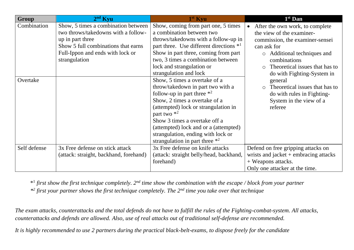| Group                   | $2nd$ Kyu                                                                                                                                                                                  | $1st$ Kyu                                                                                                                                                                                                                                                                                                                                                      | $1st$ Dan                                                                                                                                                                                                                                                                                                   |  |
|-------------------------|--------------------------------------------------------------------------------------------------------------------------------------------------------------------------------------------|----------------------------------------------------------------------------------------------------------------------------------------------------------------------------------------------------------------------------------------------------------------------------------------------------------------------------------------------------------------|-------------------------------------------------------------------------------------------------------------------------------------------------------------------------------------------------------------------------------------------------------------------------------------------------------------|--|
| Combination<br>Overtake | Show, 5 times a combination between<br>two throws/takedowns with a follow-<br>up in part three<br>Show 5 full combinations that earns<br>Full-Ippon and ends with lock or<br>strangulation | Show, coming from part one, 5 times<br>a combination between two<br>throws/takedowns with a follow-up in<br>part three. Use different directions *1<br>Show in part three, coming from part<br>two, 3 times a combination between<br>lock and strangulation or<br>strangulation and lock<br>Show, 5 times a overtake of a<br>throw/takedown in part two with a | After the own work, to complete<br>the view of the examiner-<br>commission, the examiner-sensei<br>can ask for<br>Additional techniques and<br>$\circ$<br>combinations<br>Theoretical issues that has to<br>$\bigcap$<br>do with Fighting-System in<br>general<br>Theoretical issues that has to<br>$\circ$ |  |
|                         |                                                                                                                                                                                            | follow-up in part three $*^2$<br>Show, 2 times a overtake of a<br>(attempted) lock or strangulation in<br>part two $*^2$<br>Show 3 times a overtake off a<br>(attempted) lock and or a (attempted)<br>strangulation, ending with lock or<br>strangulation in part three $*^2$                                                                                  | do with rules in Fighting-<br>System in the view of a<br>referee                                                                                                                                                                                                                                            |  |
| Self defense            | 3x Free defense on stick attack<br>(attack: straight, backhand, forehand)                                                                                                                  | 3x Free defense on knife attacks<br>(attack: straight belly/head, backhand,<br>forehand)                                                                                                                                                                                                                                                                       | Defend on free gripping attacks on<br>wrists and jacket $+$ embracing attacks<br>+ Weapons attacks.<br>Only one attacker at the time.                                                                                                                                                                       |  |

\* 1 *first show the first technique completely. 2nd time show the combination with the escape / block from your partner*

*\* 2 first your partner shows the first technique completely. The 2nd time you take over that technique*

*The exam attacks, counterattacks and the total defends do not have to fulfill the rules of the Fighting-combat-system. All attacks, counterattacks and defends are allowed. Also, use of real attacks out of traditional self-defense are recommended.*

*It is highly recommended to use 2 partners during the practical black-belt-exams, to dispose freely for the candidate*